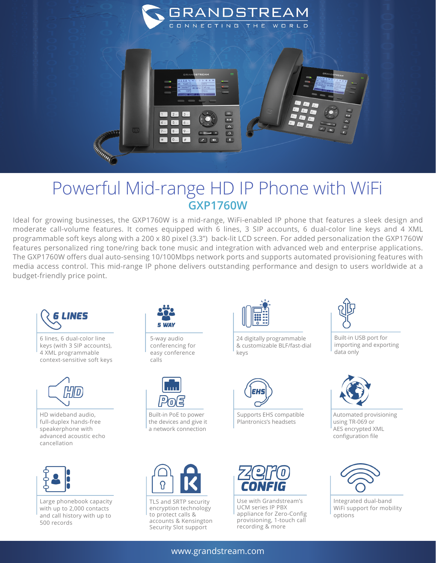

## Powerful Mid-range HD IP Phone with WiFi **GXP1760W**

Ideal for growing businesses, the GXP1760W is a mid-range, WiFi-enabled IP phone that features a sleek design and moderate call-volume features. It comes equipped with 6 lines, 3 SIP accounts, 6 dual-color line keys and 4 XML programmable soft keys along with a 200 x 80 pixel (3.3") back-lit LCD screen. For added personalization the GXP1760W features personalized ring tone/ring back tone music and integration with advanced web and enterprise applications. The GXP1760W offers dual auto-sensing 10/100Mbps network ports and supports automated provisioning features with media access control. This mid-range IP phone delivers outstanding performance and design to users worldwide at a budget-friendly price point.



6 lines, 6 dual-color line keys (with 3 SIP accounts), 4 XML programmable context-sensitive soft keys



HD wideband audio, full-duplex hands-free speakerphone with advanced acoustic echo cancellation



Large phonebook capacity with up to 2,000 contacts and call history with up to 500 records



5-way audio conferencing for easy conference calls



Built-in PoE to power the devices and give it a network connection



TLS and SRTP security encryption technology to protect calls & accounts & Kensington Security Slot support



24 digitally programmable & customizable BLF/fast-dial keys



Supports EHS compatible Plantronics's headsets



Use with Grandstream's UCM series IP PBX appliance for Zero-Config provisioning, 1-touch call recording & more



Built-in USB port for importing and exporting data only



Automated provisioning using TR-069 or AES encrypted XML configuration file



Integrated dual-band WiFi support for mobility options